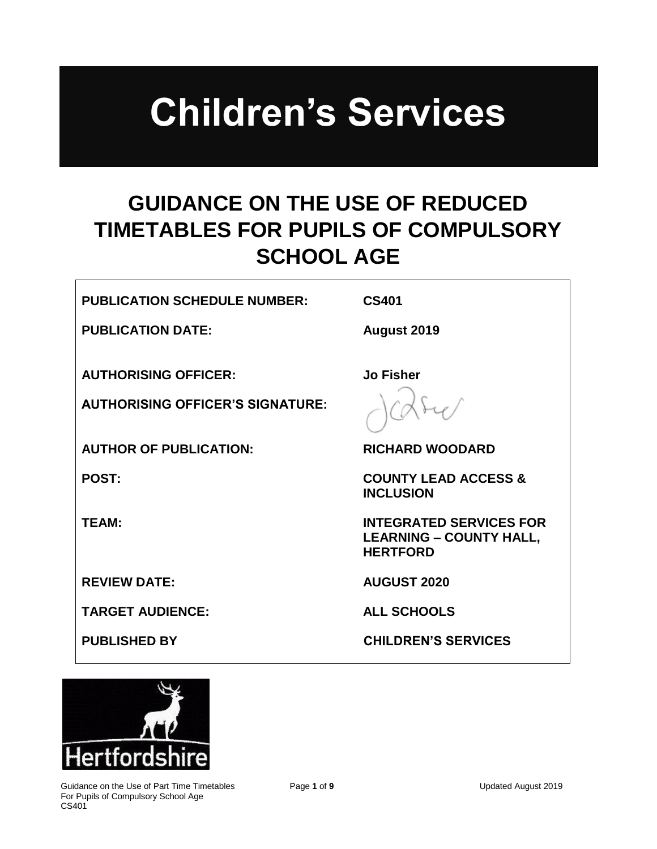# **Children's Services**

## **GUIDANCE ON THE USE OF REDUCED TIMETABLES FOR PUPILS OF COMPULSORY SCHOOL AGE**

#### **PUBLICATION SCHEDULE NUMBER: CS401**

**Jo Fisher**

**PUBLICATION DATE:** August 2019

**AUTHORISING OFFICER:**

**AUTHORISING OFFICER'S SIGNATURE:**

**AUTHOR OF PUBLICATION: RICHARD WOODARD**

**REVIEW DATE:** AUGUST 2020

**TARGET AUDIENCE: ALL SCHOOLS** 

**POST: COUNTY LEAD ACCESS & INCLUSION**

**TEAM: INTEGRATED SERVICES FOR LEARNING – COUNTY HALL, HERTFORD**

**PUBLISHED BY CHILDREN'S SERVICES** 

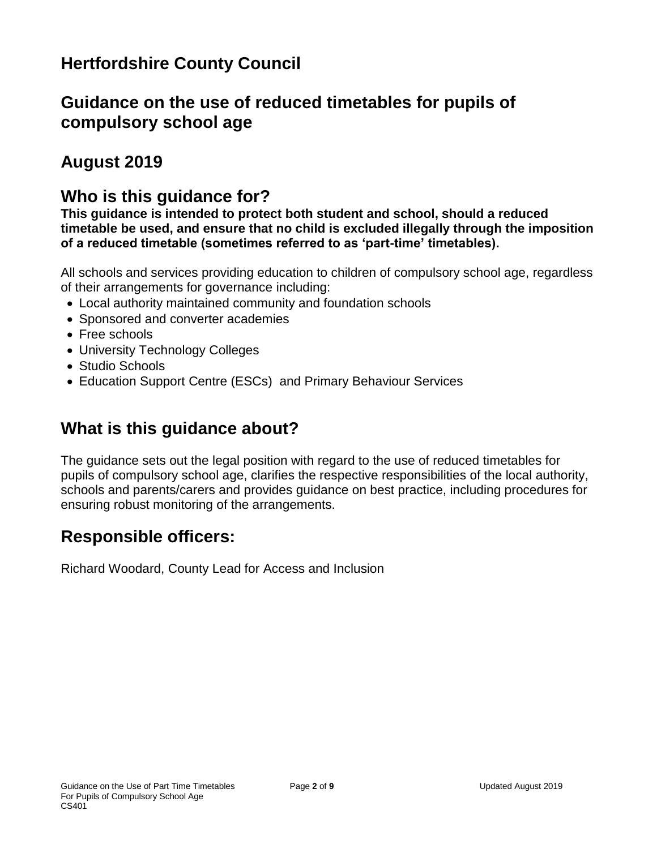## **Hertfordshire County Council**

## **Guidance on the use of reduced timetables for pupils of compulsory school age**

## **August 2019**

### **Who is this guidance for?**

**This guidance is intended to protect both student and school, should a reduced timetable be used, and ensure that no child is excluded illegally through the imposition of a reduced timetable (sometimes referred to as 'part-time' timetables).**

All schools and services providing education to children of compulsory school age, regardless of their arrangements for governance including:

- Local authority maintained community and foundation schools
- Sponsored and converter academies
- Free schools
- University Technology Colleges
- Studio Schools
- Education Support Centre (ESCs) and Primary Behaviour Services

## **What is this guidance about?**

The guidance sets out the legal position with regard to the use of reduced timetables for pupils of compulsory school age, clarifies the respective responsibilities of the local authority, schools and parents/carers and provides guidance on best practice, including procedures for ensuring robust monitoring of the arrangements.

## **Responsible officers:**

Richard Woodard, County Lead for Access and Inclusion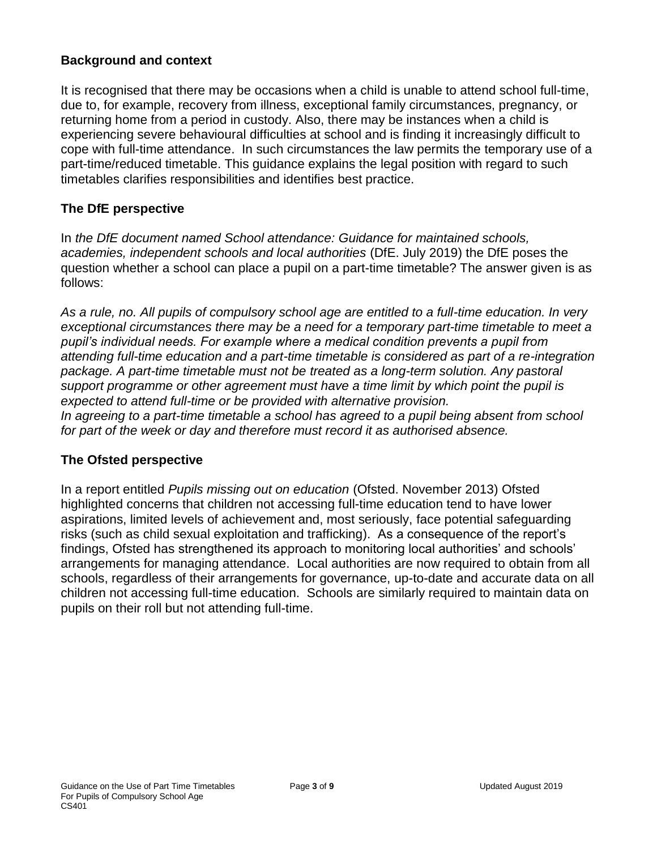#### **Background and context**

It is recognised that there may be occasions when a child is unable to attend school full-time, due to, for example, recovery from illness, exceptional family circumstances, pregnancy, or returning home from a period in custody. Also, there may be instances when a child is experiencing severe behavioural difficulties at school and is finding it increasingly difficult to cope with full-time attendance. In such circumstances the law permits the temporary use of a part-time/reduced timetable. This guidance explains the legal position with regard to such timetables clarifies responsibilities and identifies best practice.

#### **The DfE perspective**

In *the DfE document named School attendance: Guidance for maintained schools, academies, independent schools and local authorities* (DfE. July 2019) the DfE poses the question whether a school can place a pupil on a part-time timetable? The answer given is as follows:

*As a rule, no. All pupils of compulsory school age are entitled to a full-time education. In very exceptional circumstances there may be a need for a temporary part-time timetable to meet a pupil's individual needs. For example where a medical condition prevents a pupil from attending full-time education and a part-time timetable is considered as part of a re-integration package. A part-time timetable must not be treated as a long-term solution. Any pastoral support programme or other agreement must have a time limit by which point the pupil is expected to attend full-time or be provided with alternative provision. In agreeing to a part-time timetable a school has agreed to a pupil being absent from school for part of the week or day and therefore must record it as authorised absence.*

#### **The Ofsted perspective**

In a report entitled *Pupils missing out on education* (Ofsted. November 2013) Ofsted highlighted concerns that children not accessing full-time education tend to have lower aspirations, limited levels of achievement and, most seriously, face potential safeguarding risks (such as child sexual exploitation and trafficking). As a consequence of the report's findings, Ofsted has strengthened its approach to monitoring local authorities' and schools' arrangements for managing attendance. Local authorities are now required to obtain from all schools, regardless of their arrangements for governance, up-to-date and accurate data on all children not accessing full-time education. Schools are similarly required to maintain data on pupils on their roll but not attending full-time.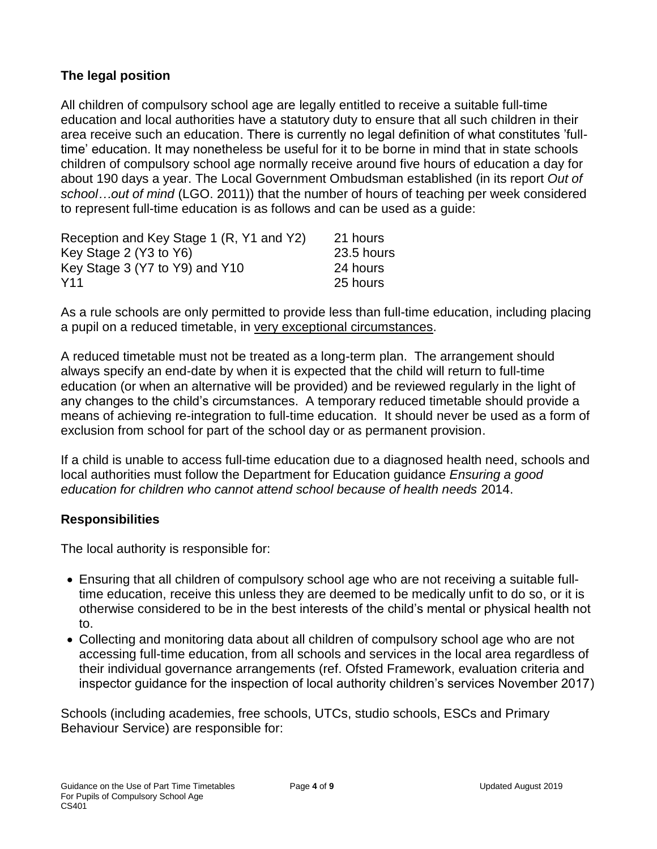#### **The legal position**

All children of compulsory school age are legally entitled to receive a suitable full-time education and local authorities have a statutory duty to ensure that all such children in their area receive such an education. There is currently no legal definition of what constitutes 'fulltime' education. It may nonetheless be useful for it to be borne in mind that in state schools children of compulsory school age normally receive around five hours of education a day for about 190 days a year. The Local Government Ombudsman established (in its report *Out of school…out of mind* (LGO. 2011)) that the number of hours of teaching per week considered to represent full-time education is as follows and can be used as a guide:

| Reception and Key Stage 1 (R, Y1 and Y2) | 21 hours   |
|------------------------------------------|------------|
| Key Stage 2 (Y3 to Y6)                   | 23.5 hours |
| Key Stage 3 (Y7 to Y9) and Y10           | 24 hours   |
| Y <sub>11</sub>                          | 25 hours   |

As a rule schools are only permitted to provide less than full-time education, including placing a pupil on a reduced timetable, in very exceptional circumstances.

A reduced timetable must not be treated as a long-term plan. The arrangement should always specify an end-date by when it is expected that the child will return to full-time education (or when an alternative will be provided) and be reviewed regularly in the light of any changes to the child's circumstances. A temporary reduced timetable should provide a means of achieving re-integration to full-time education. It should never be used as a form of exclusion from school for part of the school day or as permanent provision.

If a child is unable to access full-time education due to a diagnosed health need, schools and local authorities must follow the Department for Education guidance *Ensuring a good education for children who cannot attend school because of health needs* 2014.

#### **Responsibilities**

The local authority is responsible for:

- Ensuring that all children of compulsory school age who are not receiving a suitable fulltime education, receive this unless they are deemed to be medically unfit to do so, or it is otherwise considered to be in the best interests of the child's mental or physical health not to.
- Collecting and monitoring data about all children of compulsory school age who are not accessing full-time education, from all schools and services in the local area regardless of their individual governance arrangements (ref. Ofsted Framework, evaluation criteria and inspector guidance for the inspection of local authority children's services November 2017)

Schools (including academies, free schools, UTCs, studio schools, ESCs and Primary Behaviour Service) are responsible for: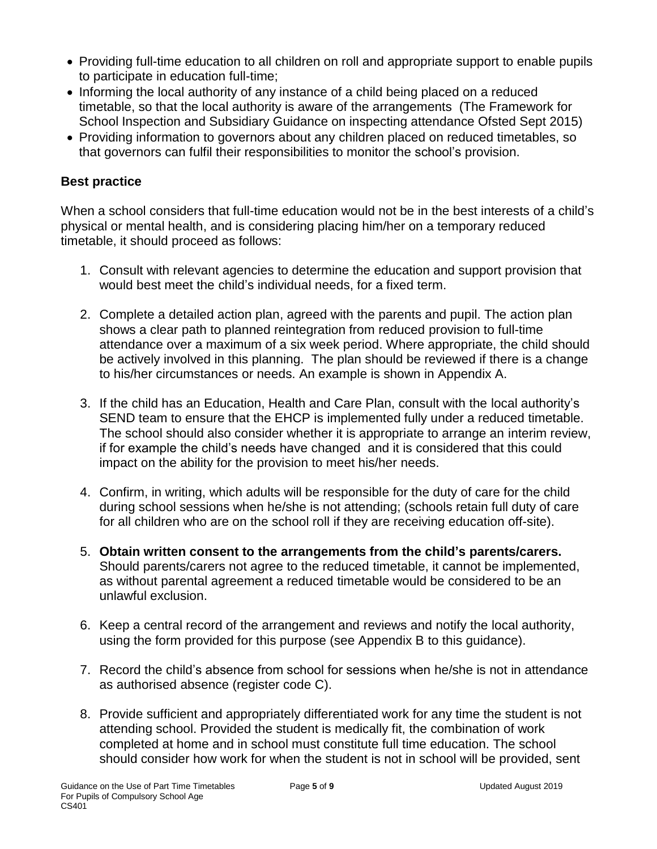- Providing full-time education to all children on roll and appropriate support to enable pupils to participate in education full-time;
- Informing the local authority of any instance of a child being placed on a reduced timetable, so that the local authority is aware of the arrangements (The Framework for School Inspection and Subsidiary Guidance on inspecting attendance Ofsted Sept 2015)
- Providing information to governors about any children placed on reduced timetables, so that governors can fulfil their responsibilities to monitor the school's provision.

#### **Best practice**

When a school considers that full-time education would not be in the best interests of a child's physical or mental health, and is considering placing him/her on a temporary reduced timetable, it should proceed as follows:

- 1. Consult with relevant agencies to determine the education and support provision that would best meet the child's individual needs, for a fixed term.
- 2. Complete a detailed action plan, agreed with the parents and pupil. The action plan shows a clear path to planned reintegration from reduced provision to full-time attendance over a maximum of a six week period. Where appropriate, the child should be actively involved in this planning. The plan should be reviewed if there is a change to his/her circumstances or needs. An example is shown in Appendix A.
- 3. If the child has an Education, Health and Care Plan, consult with the local authority's SEND team to ensure that the EHCP is implemented fully under a reduced timetable. The school should also consider whether it is appropriate to arrange an interim review, if for example the child's needs have changed and it is considered that this could impact on the ability for the provision to meet his/her needs.
- 4. Confirm, in writing, which adults will be responsible for the duty of care for the child during school sessions when he/she is not attending; (schools retain full duty of care for all children who are on the school roll if they are receiving education off-site).
- 5. **Obtain written consent to the arrangements from the child's parents/carers.** Should parents/carers not agree to the reduced timetable, it cannot be implemented, as without parental agreement a reduced timetable would be considered to be an unlawful exclusion.
- 6. Keep a central record of the arrangement and reviews and notify the local authority, using the form provided for this purpose (see Appendix B to this guidance).
- 7. Record the child's absence from school for sessions when he/she is not in attendance as authorised absence (register code C).
- 8. Provide sufficient and appropriately differentiated work for any time the student is not attending school. Provided the student is medically fit, the combination of work completed at home and in school must constitute full time education. The school should consider how work for when the student is not in school will be provided, sent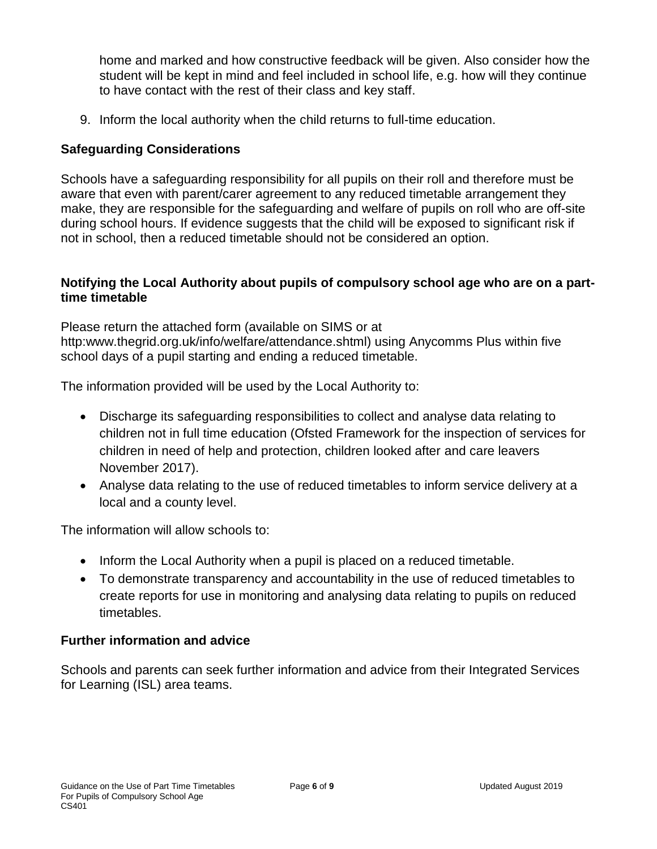home and marked and how constructive feedback will be given. Also consider how the student will be kept in mind and feel included in school life, e.g. how will they continue to have contact with the rest of their class and key staff.

9. Inform the local authority when the child returns to full-time education.

#### **Safeguarding Considerations**

Schools have a safeguarding responsibility for all pupils on their roll and therefore must be aware that even with parent/carer agreement to any reduced timetable arrangement they make, they are responsible for the safeguarding and welfare of pupils on roll who are off-site during school hours. If evidence suggests that the child will be exposed to significant risk if not in school, then a reduced timetable should not be considered an option.

#### **Notifying the Local Authority about pupils of compulsory school age who are on a parttime timetable**

Please return the attached form (available on SIMS or at http:www.thegrid.org.uk/info/welfare/attendance.shtml) using Anycomms Plus within five school days of a pupil starting and ending a reduced timetable.

The information provided will be used by the Local Authority to:

- Discharge its safeguarding responsibilities to collect and analyse data relating to children not in full time education (Ofsted Framework for the inspection of services for children in need of help and protection, children looked after and care leavers November 2017).
- Analyse data relating to the use of reduced timetables to inform service delivery at a local and a county level.

The information will allow schools to:

- Inform the Local Authority when a pupil is placed on a reduced timetable.
- To demonstrate transparency and accountability in the use of reduced timetables to create reports for use in monitoring and analysing data relating to pupils on reduced timetables.

#### **Further information and advice**

Schools and parents can seek further information and advice from their Integrated Services for Learning (ISL) area teams.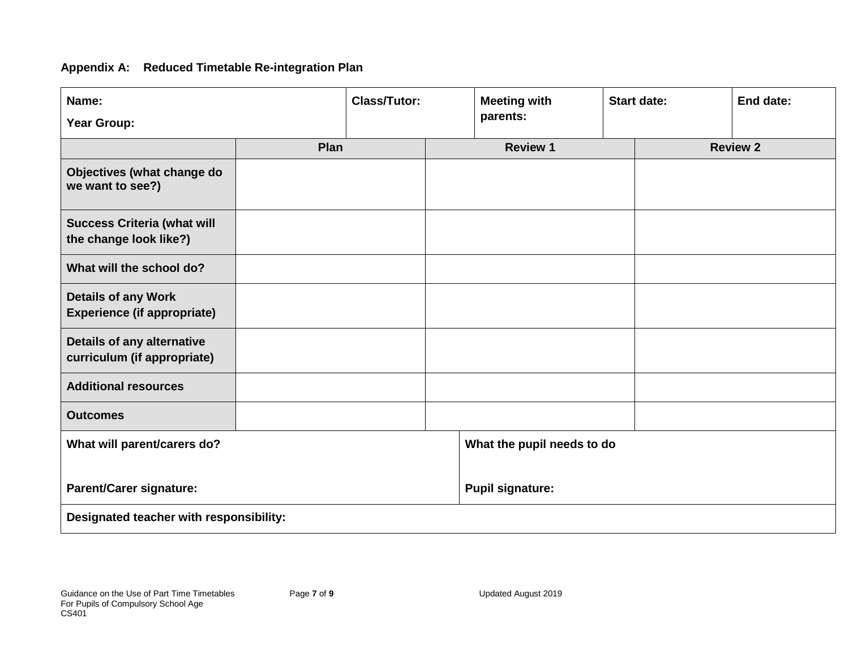#### **Appendix A: Reduced Timetable Re-integration Plan**

| Name:                                                            |      | <b>Class/Tutor:</b> |  | <b>Meeting with</b>        |  | <b>Start date:</b> | End date:       |  |
|------------------------------------------------------------------|------|---------------------|--|----------------------------|--|--------------------|-----------------|--|
| <b>Year Group:</b>                                               |      |                     |  | parents:                   |  |                    |                 |  |
|                                                                  | Plan |                     |  | <b>Review 1</b>            |  |                    | <b>Review 2</b> |  |
| Objectives (what change do<br>we want to see?)                   |      |                     |  |                            |  |                    |                 |  |
| <b>Success Criteria (what will</b><br>the change look like?)     |      |                     |  |                            |  |                    |                 |  |
| What will the school do?                                         |      |                     |  |                            |  |                    |                 |  |
| <b>Details of any Work</b><br><b>Experience (if appropriate)</b> |      |                     |  |                            |  |                    |                 |  |
| Details of any alternative<br>curriculum (if appropriate)        |      |                     |  |                            |  |                    |                 |  |
| <b>Additional resources</b>                                      |      |                     |  |                            |  |                    |                 |  |
| <b>Outcomes</b>                                                  |      |                     |  |                            |  |                    |                 |  |
| What will parent/carers do?                                      |      |                     |  | What the pupil needs to do |  |                    |                 |  |
| <b>Parent/Carer signature:</b>                                   |      |                     |  | <b>Pupil signature:</b>    |  |                    |                 |  |
| Designated teacher with responsibility:                          |      |                     |  |                            |  |                    |                 |  |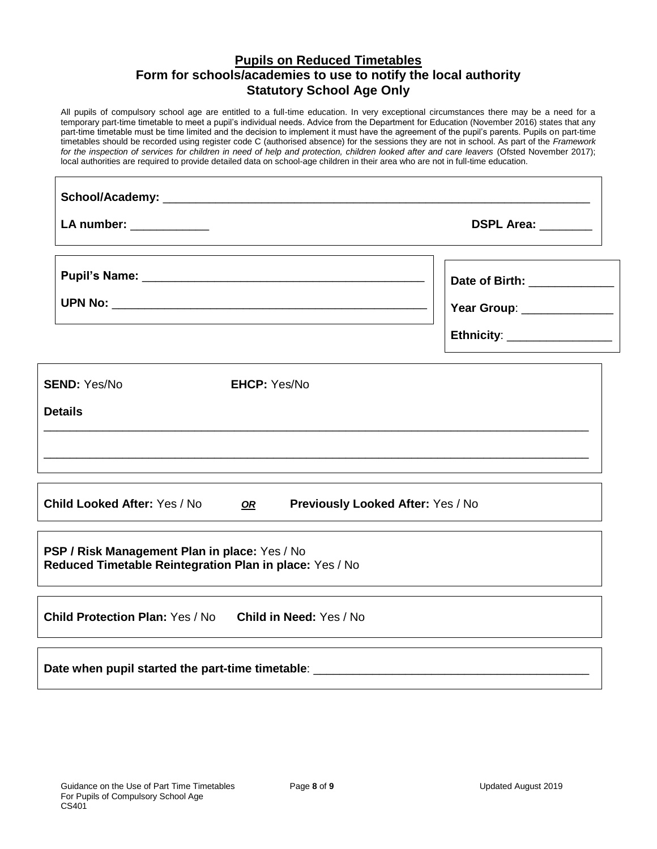#### **Pupils on Reduced Timetables Form for schools/academies to use to notify the local authority Statutory School Age Only**

All pupils of compulsory school age are entitled to a full-time education. In very exceptional circumstances there may be a need for a temporary part-time timetable to meet a pupil's individual needs. Advice from the Department for Education (November 2016) states that any part-time timetable must be time limited and the decision to implement it must have the agreement of the pupil's parents. Pupils on part-time timetables should be recorded using register code C (authorised absence) for the sessions they are not in school. As part of the *Framework for the inspection of services for children in need of help and protection, children looked after and care leavers* (Ofsted November 2017); local authorities are required to provide detailed data on school-age children in their area who are not in full-time education.

| LA number: ____________                                                                                                                                                                      | DSPL Area: ________                                                                         |
|----------------------------------------------------------------------------------------------------------------------------------------------------------------------------------------------|---------------------------------------------------------------------------------------------|
|                                                                                                                                                                                              | Date of Birth: _____________<br>Year Group: _______________<br>Ethnicity: _________________ |
| <b>SEND: Yes/No</b><br><b>EHCP: Yes/No</b><br><b>Details</b><br>,我们也不能会有一个人的事情。""我们的人们是不是我们的人,我们也不能会有一个人的人,我们也不能会有一个人的人,我们也不能会有一个人的人,我们也不能会有一个人的人                                            |                                                                                             |
| <b>Child Looked After: Yes / No</b><br>Previously Looked After: Yes / No<br>OR                                                                                                               |                                                                                             |
| PSP / Risk Management Plan in place: Yes / No<br>Reduced Timetable Reintegration Plan in place: Yes / No<br>,我们也不会有什么。""我们的人,我们也不会有什么?""我们的人,我们也不会有什么?""我们的人,我们也不会有什么?""我们的人,我们也不会有什么?""我们的人 |                                                                                             |
| Child Protection Plan: Yes / No Child in Need: Yes / No                                                                                                                                      |                                                                                             |
|                                                                                                                                                                                              |                                                                                             |